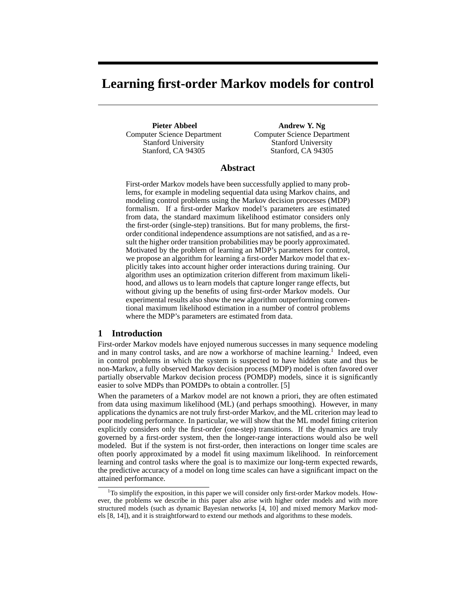# **Learning first-order Markov models for control**

**Pieter Abbeel** Computer Science Department Stanford University Stanford, CA 94305

**Andrew Y. Ng** Computer Science Department Stanford University Stanford, CA 94305

# **Abstract**

First-order Markov models have been successfully applied to many problems, for example in modeling sequential data using Markov chains, and modeling control problems using the Markov decision processes (MDP) formalism. If a first-order Markov model's parameters are estimated from data, the standard maximum likelihood estimator considers only the first-order (single-step) transitions. But for many problems, the firstorder conditional independence assumptions are not satisfied, and as a result the higher order transition probabilities may be poorly approximated. Motivated by the problem of learning an MDP's parameters for control, we propose an algorithm for learning a first-order Markov model that explicitly takes into account higher order interactions during training. Our algorithm uses an optimization criterion different from maximum likelihood, and allows us to learn models that capture longer range effects, but without giving up the benefits of using first-order Markov models. Our experimental results also show the new algorithm outperforming conventional maximum likelihood estimation in a number of control problems where the MDP's parameters are estimated from data.

# **1 Introduction**

First-order Markov models have enjoyed numerous successes in many sequence modeling and in many control tasks, and are now a workhorse of machine learning.<sup>1</sup> Indeed, even in control problems in which the system is suspected to have hidden state and thus be non-Markov, a fully observed Markov decision process (MDP) model is often favored over partially observable Markov decision process (POMDP) models, since it is significantly easier to solve MDPs than POMDPs to obtain a controller. [5]

When the parameters of a Markov model are not known a priori, they are often estimated from data using maximum likelihood (ML) (and perhaps smoothing). However, in many applications the dynamics are not truly first-order Markov, and the ML criterion may lead to poor modeling performance. In particular, we will show that the ML model fitting criterion explicitly considers only the first-order (one-step) transitions. If the dynamics are truly governed by a first-order system, then the longer-range interactions would also be well modeled. But if the system is not first-order, then interactions on longer time scales are often poorly approximated by a model fit using maximum likelihood. In reinforcement learning and control tasks where the goal is to maximize our long-term expected rewards, the predictive accuracy of a model on long time scales can have a significant impact on the attained performance.

 $1$ <sup>1</sup>To simplify the exposition, in this paper we will consider only first-order Markov models. However, the problems we describe in this paper also arise with higher order models and with more structured models (such as dynamic Bayesian networks [4, 10] and mixed memory Markov models [8, 14]), and it is straightforward to extend our methods and algorithms to these models.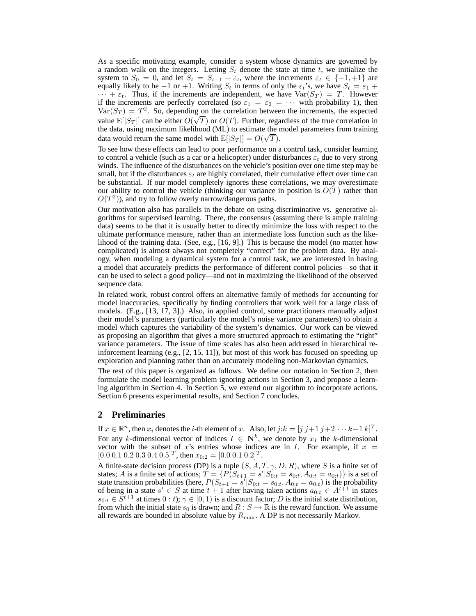As a specific motivating example, consider a system whose dynamics are governed by a random walk on the integers. Letting  $S_t$  denote the state at time t, we initialize the system to  $S_0 = 0$ , and let  $S_t = S_{t-1} + \varepsilon_t$ , where the increments  $\varepsilon_t \in \{-1, +1\}$  are equally likely to be −1 or +1. Writing  $S_t$  in terms of only the  $\varepsilon_t$ 's, we have  $S_t = \varepsilon_1 +$  $\cdots + \varepsilon_t$ . Thus, if the increments are independent, we have  $\text{Var}(S_T) = T$ . However if the increments are perfectly correlated (so  $\varepsilon_1 = \varepsilon_2 = \cdots$  with probability 1), then  $Var(S_T) = T^2$ . So, depending on the correlation between the increments, the expected value  $E[|S_T|]$  can be either  $O(\sqrt{T})$  or  $O(T)$ . Further, regardless of the true correlation in the data, using maximum likelihood (ML) to estimate the model parameters from training data would return the same model with  $E[|S_T|] = O(\sqrt{T}).$ 

To see how these effects can lead to poor performance on a control task, consider learning to control a vehicle (such as a car or a helicopter) under disturbances  $\varepsilon_t$  due to very strong winds. The influence of the disturbances on the vehicle's position over one time step may be small, but if the disturbances  $\varepsilon_t$  are highly correlated, their cumulative effect over time can be substantial. If our model completely ignores these correlations, we may overestimate our ability to control the vehicle (thinking our variance in position is  $O(T)$  rather than  $O(T^2)$ ), and try to follow overly narrow/dangerous paths.

Our motivation also has parallels in the debate on using discriminative vs. generative algorithms for supervised learning. There, the consensus (assuming there is ample training data) seems to be that it is usually better to directly minimize the loss with respect to the ultimate performance measure, rather than an intermediate loss function such as the likelihood of the training data. (See, e.g., [16, 9].) This is because the model (no matter how complicated) is almost always not completely "correct" for the problem data. By analogy, when modeling a dynamical system for a control task, we are interested in having a model that accurately predicts the performance of different control policies—so that it can be used to select a good policy—and not in maximizing the likelihood of the observed sequence data.

In related work, robust control offers an alternative family of methods for accounting for model inaccuracies, specifically by finding controllers that work well for a large class of models. (E.g., [13, 17, 3].) Also, in applied control, some practitioners manually adjust their model's parameters (particularly the model's noise variance parameters) to obtain a model which captures the variability of the system's dynamics. Our work can be viewed as proposing an algorithm that gives a more structured approach to estimating the "right" variance parameters. The issue of time scales has also been addressed in hierarchical reinforcement learning (e.g., [2, 15, 11]), but most of this work has focused on speeding up exploration and planning rather than on accurately modeling non-Markovian dynamics.

The rest of this paper is organized as follows. We define our notation in Section 2, then formulate the model learning problem ignoring actions in Section 3, and propose a learning algorithm in Section 4. In Section 5, we extend our algorithm to incorporate actions. Section 6 presents experimental results, and Section 7 concludes.

# **2 Preliminaries**

If  $x \in \mathbb{R}^n$ , then  $x_i$  denotes the *i*-th element of x. Also, let  $j:k = [j \; j+1 \; j+2 \; \cdots k-1 \; k]^T$ . For any k-dimensional vector of indices  $I \in \mathbb{N}^k$ , we denote by  $x_I$  the k-dimensional vector with the subset of x's entries whose indices are in I. For example, if  $x =$  $[0.0\ 0.1\ 0.2\ 0.3\ 0.4\ 0.5]^T$ , then  $x_{0:2} = [0.0\ 0.1\ 0.2]^T$ .

A finite-state decision process (DP) is a tuple  $(S, A, T, \gamma, D, R)$ , where S is a finite set of states; A is a finite set of actions;  $T = \{P(S_{t+1} = s' | S_{0:t} = s_{0:t}, A_{0:t} = a_{0:t})\}$  is a set of state transition probabilities (here,  $P(S_{t+1} = s' | S_{0:t} = s_{0:t}, A_{0:t} = a_{0:t})$  is the probability of being in a state  $s' \in S$  at time  $t + 1$  after having taken actions  $a_{0:t} \in A^{t+1}$  in states  $s_{0:t} \in \overline{S}^{t+1}$  at times  $0:t$ ;  $\gamma \in [0,1)$  is a discount factor; D is the initial state distribution, from which the initial state  $s_0$  is drawn; and  $R : S \mapsto \mathbb{R}$  is the reward function. We assume all rewards are bounded in absolute value by  $R_{\text{max}}$ . A DP is not necessarily Markov.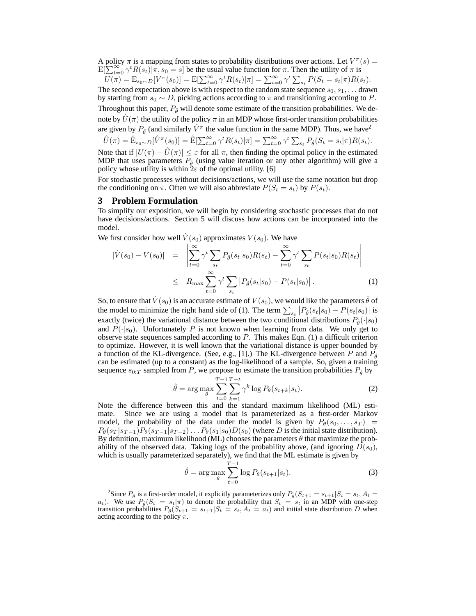A policy  $\pi$  is a mapping from states to probability distributions over actions. Let  $V^{\pi}(s)$  =  $E[\sum_{t=0}^{\infty} \gamma^t R(s_t) | \pi, s_0 = s]$  be the usual value function for  $\pi$ . Then the utility of  $\pi$  is

 $U(\pi) = \mathbb{E}_{s_0 \sim D}[V^{\pi}(s_0)] = \mathbb{E}[\sum_{t=0}^{\infty} \gamma^t R(s_t) | \pi] = \sum_{t=0}^{\infty} \gamma^t \sum_{s_t} P(S_t = s_t | \pi) R(s_t).$ The second expectation above is with respect to the random state sequence  $s_0, s_1, \ldots$  drawn by starting from  $s_0 \sim D$ , picking actions according to  $\pi$  and transitioning according to P. Throughout this paper,  $P_{\hat{\theta}}$  will denote some estimate of the transition probabilities. We denote by  $\hat{U}(\pi)$  the utility of the policy  $\pi$  in an MDP whose first-order transition probabilities are given by  $P_{\hat{\theta}}$  (and similarly  $\hat{V}^{\pi}$  the value function in the same MDP). Thus, we have<sup>2</sup>

$$
\hat{U}(\pi) = \hat{\mathbf{E}}_{s_0 \sim D}[\hat{V}^{\pi}(s_0)] = \hat{\mathbf{E}}[\sum_{t=0}^{\infty} \gamma^t R(s_t)|\pi] = \sum_{t=0}^{\infty} \gamma^t \sum_{s_t} P_{\hat{\theta}}(S_t = s_t|\pi) R(s_t).
$$

Note that if  $|U(\pi) - \hat{U}(\pi)| \leq \varepsilon$  for all  $\pi$ , then finding the optimal policy in the estimated MDP that uses parameters  $P_{\hat{\theta}}$  (using value iteration or any other algorithm) will give a policy whose utility is within  $2\varepsilon$  of the optimal utility. [6]

For stochastic processes without decisions/actions, we will use the same notation but drop the conditioning on  $\pi$ . Often we will also abbreviate  $P(S_t = s_t)$  by  $P(s_t)$ .

#### **3 Problem Formulation**

To simplify our exposition, we will begin by considering stochastic processes that do not have decisions/actions. Section 5 will discuss how actions can be incorporated into the model.

We first consider how well  $\hat{V}(s_0)$  approximates  $V(s_0)$ . We have

$$
|\hat{V}(s_0) - V(s_0)| = \left| \sum_{t=0}^{\infty} \gamma^t \sum_{s_t} P_{\hat{\theta}}(s_t | s_0) R(s_t) - \sum_{t=0}^{\infty} \gamma^t \sum_{s_t} P(s_t | s_0) R(s_t) \right|
$$
  

$$
\leq R_{\max} \sum_{t=0}^{\infty} \gamma^t \sum_{s_t} |P_{\hat{\theta}}(s_t | s_0) - P(s_t | s_0)|.
$$
 (1)

So, to ensure that  $\hat{V}(s_0)$  is an accurate estimate of  $V(s_0)$ , we would like the parameters  $\hat{\theta}$  of the model to minimize the right hand side of (1). The term  $\sum_{s_t} |P_{\hat{\theta}}(s_t|s_0) - P(s_t|s_0)|$  is exactly (twice) the variational distance between the two conditional distributions  $P_{\hat{\theta}}(\cdot|s_0)$ and  $P(\cdot|s_0)$ . Unfortunately P is not known when learning from data. We only get to observe state sequences sampled according to  $P$ . This makes Eqn. (1) a difficult criterion to optimize. However, it is well known that the variational distance is upper bounded by a function of the KL-divergence. (See, e.g., [1].) The KL-divergence between P and  $P_{\hat{\theta}}$ can be estimated (up to a constant) as the log-likelihood of a sample. So, given a training sequence  $s_{0:T}$  sampled from P, we propose to estimate the transition probabilities  $P_{\hat{\theta}}$  by

$$
\hat{\theta} = \arg \max_{\theta} \sum_{t=0}^{T-1} \sum_{k=1}^{T-t} \gamma^k \log P_{\theta}(s_{t+k}|s_t). \tag{2}
$$

Note the difference between this and the standard maximum likelihood (ML) estimate. Since we are using a model that is parameterized as a first-order Markov model, the probability of the data under the model is given by  $P_{\theta}(s_0, \ldots, s_T)$  =  $P_{\theta}(s_T | s_{T-1}) P_{\theta}(s_{T-1} | s_{T-2}) \dots P_{\theta}(s_1 | s_0) D(s_0)$  (where D is the initial state distribution). By definition, maximum likelihood (ML) chooses the parameters  $\theta$  that maximize the probability of the observed data. Taking logs of the probability above, (and ignoring  $D(s_0)$ , which is usually parameterized separately), we find that the ML estimate is given by

$$
\hat{\theta} = \arg \max_{\theta} \sum_{t=0}^{T-1} \log P_{\theta}(s_{t+1}|s_t). \tag{3}
$$

<sup>&</sup>lt;sup>2</sup>Since  $P_{\hat{\theta}}$  is a first-order model, it explicitly parameterizes only  $P_{\hat{\theta}}(S_{t+1} = s_{t+1}|S_t = s_t, A_t =$  $a_t$ ). We use  $P_\theta(S_t = s_t|\pi)$  to denote the probability that  $S_t = s_t$  in an MDP with one-step transition probabilities  $P_{\hat{\theta}}(S_{t+1} = s_{t+1} | S_t = s_t, A_t = a_t)$  and initial state distribution D when acting according to the policy  $\pi$ .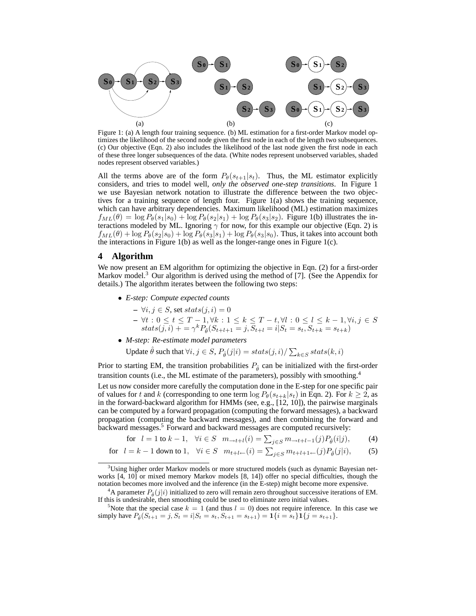

Figure 1: (a) A length four training sequence. (b) ML estimation for a first-order Markov model optimizes the likelihood of the second node given the first node in each of the length two subsequences. (c) Our objective (Eqn. 2) also includes the likelihood of the last node given the first node in each of these three longer subsequences of the data. (White nodes represent unobserved variables, shaded nodes represent observed variables.)

All the terms above are of the form  $P_{\theta}(s_{t+1}|s_t)$ . Thus, the ML estimator explicitly considers, and tries to model well, *only the observed one-step transitions*. In Figure 1 we use Bayesian network notation to illustrate the difference between the two objectives for a training sequence of length four. Figure 1(a) shows the training sequence, which can have arbitrary dependencies. Maximum likelihood (ML) estimation maximizes  $f_{ML}(\theta) = \log P_{\theta}(s_1|s_0) + \log P_{\theta}(s_2|s_1) + \log P_{\theta}(s_3|s_2)$ . Figure 1(b) illustrates the interactions modeled by ML. Ignoring  $\gamma$  for now, for this example our objective (Eqn. 2) is  $f_{ML}(\theta) + \log P_{\theta}(s_2|s_0) + \log P_{\theta}(s_3|s_1) + \log P_{\theta}(s_3|s_0)$ . Thus, it takes into account both the interactions in Figure 1(b) as well as the longer-range ones in Figure 1(c).

# **4 Algorithm**

We now present an EM algorithm for optimizing the objective in Eqn. (2) for a first-order Markov model. $3$  Our algorithm is derived using the method of [7]. (See the Appendix for details.) The algorithm iterates between the following two steps:

- *E-step: Compute expected counts*
	- $\forall i, j \in S$ , set stats(j, i) = 0
	- $\forall t : 0 \le t \le T 1, \forall k : 1 \le k \le T t, \forall l : 0 \le l \le k 1, \forall i, j \in S$ <br>stats(j, i) + = γ<sup>k</sup> P<sub>θ</sub>(S<sub>t+l+1</sub> = j, S<sub>t+l</sub> = i|S<sub>t</sub> = s<sub>t</sub>, S<sub>t+k</sub> = s<sub>t+k</sub>)
- *M-step: Re-estimate model parameters*

Update  $\hat{\theta}$  such that  $\forall i, j \in S$ ,  $P_{\hat{\theta}}(j|i) = \text{stats}(j,i) / \sum_{k \in S} \text{stats}(k,i)$ 

Prior to starting EM, the transition probabilities  $P_{\hat{\theta}}$  can be initialized with the first-order transition counts (i.e., the ML estimate of the parameters), possibly with smoothing.<sup>4</sup>

Let us now consider more carefully the computation done in the E-step for one specific pair of values for t and k (corresponding to one term  $\log P_{\theta}(s_{t+k}|s_t)$  in Eqn. 2). For  $k \geq 2$ , as in the forward-backward algorithm for HMMs (see, e.g., [12, 10]), the pairwise marginals can be computed by a forward propagation (computing the forward messages), a backward propagation (computing the backward messages), and then combining the forward and backward messages.<sup>5</sup> Forward and backward messages are computed recursively:

for 
$$
l = 1
$$
 to  $k - 1$ ,  $\forall i \in S$   $m_{\to t+1}(i) = \sum_{j \in S} m_{\to t+1-1}(j) P_{\hat{\theta}}(i|j)$ , (4)

for 
$$
l = k - 1
$$
 down to 1,  $\forall i \in S$   $m_{t+l \leftarrow}(i) = \sum_{j \in S} m_{t+l+1 \leftarrow}(j) P_{\hat{\theta}}(j|i)$ , (5)

<sup>&</sup>lt;sup>3</sup>Using higher order Markov models or more structured models (such as dynamic Bayesian networks [4, 10] or mixed memory Markov models [8, 14]) offer no special difficulties, though the notation becomes more involved and the inference (in the E-step) might become more expensive.

<sup>&</sup>lt;sup>4</sup>A parameter  $P_{\hat{\theta}}(j|i)$  initialized to zero will remain zero throughout successive iterations of EM. If this is undesirable, then smoothing could be used to eliminate zero initial values.

<sup>&</sup>lt;sup>5</sup>Note that the special case  $k = 1$  (and thus  $l = 0$ ) does not require inference. In this case we simply have  $P_{\hat{\theta}}(S_{t+1} = j, S_t = i | S_t = s_t, S_{t+1} = s_{t+1}) = \mathbf{1}\{i = s_t\}\mathbf{1}\{j = s_{t+1}\}.$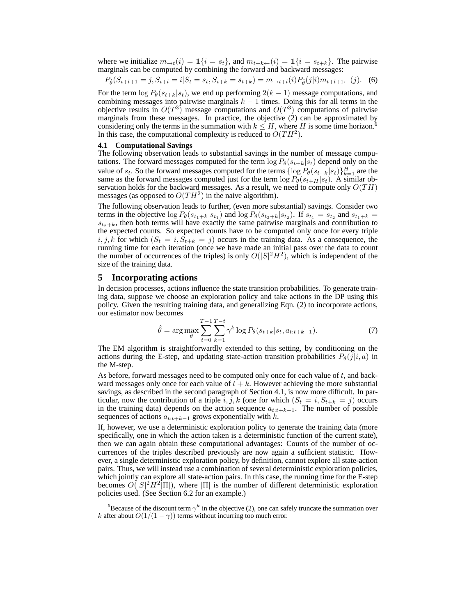where we initialize  $m_{\rightarrow t}(i) = \mathbf{1}\{i = s_t\}$ , and  $m_{t+k \leftarrow t}(i) = \mathbf{1}\{i = s_{t+k}\}$ . The pairwise marginals can be computed by combining the forward and backward messages:

$$
P_{\hat{\theta}}(S_{t+l+1} = j, S_{t+l} = i | S_t = s_t, S_{t+k} = s_{t+k}) = m_{\to t+l}(i) P_{\hat{\theta}}(j|i) m_{t+l+1} \tag{6}
$$

For the term  $\log P_{\theta}(s_{t+k}|s_t)$ , we end up performing  $2(k-1)$  message computations, and combining messages into pairwise marginals  $k - 1$  times. Doing this for all terms in the objective results in  $O(T^3)$  message computations and  $O(T^3)$  computations of pairwise marginals from these messages. In practice, the objective (2) can be approximated by considering only the terms in the summation with  $k \leq H$ , where H is some time horizon.<sup>6</sup> In this case, the computational complexity is reduced to  $O(TH^2)$ .

#### **4.1 Computational Savings**

The following observation leads to substantial savings in the number of message computations. The forward messages computed for the term  $\log P_{\theta}(s_{t+k}|s_t)$  depend only on the value of  $s_t$ . So the forward messages computed for the terms  $\{\log P_\theta(s_{t+k}|s_t)\}_{k=1}^H$  are the same as the forward messages computed just for the term  $\log P_{\theta}(s_{t+H}|s_t)$ . A similar observation holds for the backward messages. As a result, we need to compute only  $O(TH)$ messages (as opposed to  $O(TH^2)$  in the naive algorithm).

The following observation leads to further, (even more substantial) savings. Consider two terms in the objective  $\log P_{\theta}(s_{t_1+k}|s_{t_1})$  and  $\log P_{\theta}(s_{t_2+k}|s_{t_2})$ . If  $s_{t_1} = s_{t_2}$  and  $s_{t_1+k} =$  $s_{t_2+k}$ , then both terms will have exactly the same pairwise marginals and contribution to the expected counts. So expected counts have to be computed only once for every triple  $i, j, k$  for which  $(S_t = i, S_{t+k} = j)$  occurs in the training data. As a consequence, the running time for each iteration (once we have made an initial pass over the data to count the number of occurrences of the triples) is only  $O(|S|^2H^2)$ , which is independent of the size of the training data.

## **5 Incorporating actions**

In decision processes, actions influence the state transition probabilities. To generate training data, suppose we choose an exploration policy and take actions in the DP using this policy. Given the resulting training data, and generalizing Eqn. (2) to incorporate actions, our estimator now becomes

$$
\hat{\theta} = \arg \max_{\theta} \sum_{t=0}^{T-1} \sum_{k=1}^{T-t} \gamma^k \log P_{\theta}(s_{t+k}|s_t, a_{t:t+k-1}). \tag{7}
$$

The EM algorithm is straightforwardly extended to this setting, by conditioning on the actions during the E-step, and updating state-action transition probabilities  $P_{\theta}(j|i, a)$  in the M-step.

As before, forward messages need to be computed only once for each value of t, and backward messages only once for each value of  $t + k$ . However achieving the more substantial savings, as described in the second paragraph of Section 4.1, is now more difficult. In particular, now the contribution of a triple i, j, k (one for which  $(S_t = i, S_{t+k} = j)$  occurs in the training data) depends on the action sequence  $a_{t:t+k-1}$ . The number of possible sequences of actions  $a_{t:t+k-1}$  grows exponentially with k.

If, however, we use a deterministic exploration policy to generate the training data (more specifically, one in which the action taken is a deterministic function of the current state), then we can again obtain these computational advantages: Counts of the number of occurrences of the triples described previously are now again a sufficient statistic. However, a single deterministic exploration policy, by definition, cannot explore all state-action pairs. Thus, we will instead use a combination of several deterministic exploration policies, which jointly can explore all state-action pairs. In this case, the running time for the E-step becomes  $O(|S|^2H^2|\Pi|)$ , where  $|\Pi|$  is the number of different deterministic exploration policies used. (See Section 6.2 for an example.)

<sup>&</sup>lt;sup>6</sup>Because of the discount term  $\gamma^k$  in the objective (2), one can safely truncate the summation over k after about  $O(1/(1 - \gamma))$  terms without incurring too much error.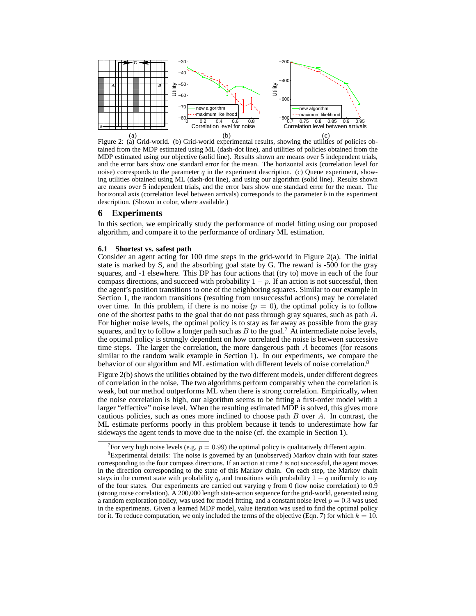

tained from the MDP estimated using ML (dash-dot line), and utilities of policies obtained from the MDP estimated using our objective (solid line). Results shown are means over 5 independent trials, and the error bars show one standard error for the mean. The horizontal axis (correlation level for noise) corresponds to the parameter q in the experiment description. (c) Queue experiment, showing utilities obtained using ML (dash-dot line), and using our algorithm (solid line). Results shown are means over 5 independent trials, and the error bars show one standard error for the mean. The horizontal axis (correlation level between arrivals) corresponds to the parameter b in the experiment description. (Shown in color, where available.)

## **6 Experiments**

In this section, we empirically study the performance of model fitting using our proposed algorithm, and compare it to the performance of ordinary ML estimation.

#### **6.1 Shortest vs. safest path**

Consider an agent acting for 100 time steps in the grid-world in Figure 2(a). The initial state is marked by S, and the absorbing goal state by G. The reward is -500 for the gray squares, and -1 elsewhere. This DP has four actions that (try to) move in each of the four compass directions, and succeed with probability  $1 - p$ . If an action is not successful, then the agent's position transitions to one of the neighboring squares. Similar to our example in Section 1, the random transitions (resulting from unsuccessful actions) may be correlated over time. In this problem, if there is no noise  $(p = 0)$ , the optimal policy is to follow one of the shortest paths to the goal that do not pass through gray squares, such as path A. For higher noise levels, the optimal policy is to stay as far away as possible from the gray squares, and try to follow a longer path such as  $B$  to the goal.<sup>7</sup> At intermediate noise levels, the optimal policy is strongly dependent on how correlated the noise is between successive time steps. The larger the correlation, the more dangerous path  $A$  becomes (for reasons similar to the random walk example in Section 1). In our experiments, we compare the behavior of our algorithm and ML estimation with different levels of noise correlation.<sup>8</sup>

Figure 2(b) shows the utilities obtained by the two different models, under different degrees of correlation in the noise. The two algorithms perform comparably when the correlation is weak, but our method outperforms ML when there is strong correlation. Empirically, when the noise correlation is high, our algorithm seems to be fitting a first-order model with a larger "effective" noise level. When the resulting estimated MDP is solved, this gives more cautious policies, such as ones more inclined to choose path  $B$  over  $A$ . In contrast, the ML estimate performs poorly in this problem because it tends to underestimate how far sideways the agent tends to move due to the noise (cf. the example in Section 1).

<sup>&</sup>lt;sup>7</sup> For very high noise levels (e.g.  $p = 0.99$ ) the optimal policy is qualitatively different again.

 ${}^{8}$ Experimental details: The noise is governed by an (unobserved) Markov chain with four states corresponding to the four compass directions. If an action at time  $t$  is not successful, the agent moves in the direction corresponding to the state of this Markov chain. On each step, the Markov chain stays in the current state with probability q, and transitions with probability  $1 - q$  uniformly to any of the four states. Our experiments are carried out varying  $q$  from 0 (low noise correlation) to 0.9 (strong noise correlation). A 200,000 length state-action sequence for the grid-world, generated using a random exploration policy, was used for model fitting, and a constant noise level  $p = 0.3$  was used in the experiments. Given a learned MDP model, value iteration was used to find the optimal policy for it. To reduce computation, we only included the terms of the objective (Eqn. 7) for which  $k = 10$ .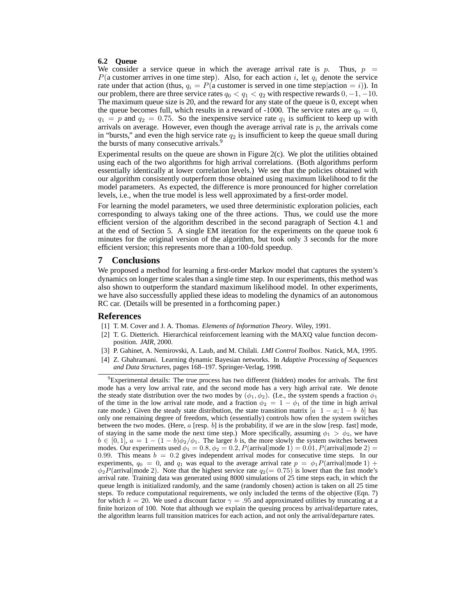#### **6.2 Queue**

We consider a service queue in which the average arrival rate is p. Thus,  $p =$  $P$ (a customer arrives in one time step). Also, for each action i, let  $q_i$  denote the service rate under that action (thus,  $q_i = P(a$  customer is served in one time step action = i)). In our problem, there are three service rates  $q_0 < q_1 < q_2$  with respective rewards  $0, -1, -10$ . The maximum queue size is 20, and the reward for any state of the queue is 0, except when the queue becomes full, which results in a reward of -1000. The service rates are  $q_0 = 0$ ,  $q_1 = p$  and  $q_2 = 0.75$ . So the inexpensive service rate  $q_1$  is sufficient to keep up with arrivals on average. However, even though the average arrival rate is  $p$ , the arrivals come in "bursts," and even the high service rate  $q_2$  is insufficient to keep the queue small during the bursts of many consecutive arrivals.<sup>9</sup>

Experimental results on the queue are shown in Figure  $2(c)$ . We plot the utilities obtained using each of the two algorithms for high arrival correlations. (Both algorithms perform essentially identically at lower correlation levels.) We see that the policies obtained with our algorithm consistently outperform those obtained using maximum likelihood to fit the model parameters. As expected, the difference is more pronounced for higher correlation levels, i.e., when the true model is less well approximated by a first-order model.

For learning the model parameters, we used three deterministic exploration policies, each corresponding to always taking one of the three actions. Thus, we could use the more efficient version of the algorithm described in the second paragraph of Section 4.1 and at the end of Section 5. A single EM iteration for the experiments on the queue took 6 minutes for the original version of the algorithm, but took only 3 seconds for the more efficient version; this represents more than a 100-fold speedup.

## **7 Conclusions**

We proposed a method for learning a first-order Markov model that captures the system's dynamics on longer time scales than a single time step. In our experiments, this method was also shown to outperform the standard maximum likelihood model. In other experiments, we have also successfully applied these ideas to modeling the dynamics of an autonomous RC car. (Details will be presented in a forthcoming paper.)

## **References**

- [1] T. M. Cover and J. A. Thomas. *Elements of Information Theory*. Wiley, 1991.
- [2] T. G. Dietterich. Hierarchical reinforcement learning with the MAXQ value function decomposition. *JAIR*, 2000.
- [3] P. Gahinet, A. Nemirovski, A. Laub, and M. Chilali. *LMI Control Toolbox*. Natick, MA, 1995.
- [4] Z. Ghahramani. Learning dynamic Bayesian networks. In *Adaptive Processing of Sequences and Data Structures*, pages 168–197. Springer-Verlag, 1998.

 $9^9$ Experimental details: The true process has two different (hidden) modes for arrivals. The first mode has a very low arrival rate, and the second mode has a very high arrival rate. We denote the steady state distribution over the two modes by  $(\phi_1, \phi_2)$ . (I.e., the system spends a fraction  $\phi_1$ of the time in the low arrival rate mode, and a fraction  $\phi_2 = 1 - \phi_1$  of the time in high arrival rate mode.) Given the steady state distribution, the state transition matrix  $[a \ 1 - a; 1 - b \ b]$  has only one remaining degree of freedom, which (essentially) controls how often the system switches between the two modes. (Here,  $a$  [resp. b] is the probability, if we are in the slow [resp. fast] mode, of staying in the same mode the next time step.) More specifically, assuming  $\phi_1 > \phi_2$ , we have  $b \in [0,1], a = 1 - (1 - b)\phi_2/\phi_1$ . The larger b is, the more slowly the system switches between modes. Our experiments used  $\phi_1 = 0.8$ ,  $\phi_2 = 0.2$ ,  $P(\text{arrival}|\text{mode 1}) = 0.01$ ,  $P(\text{arrival}|\text{mode 2}) =$ 0.99. This means  $b = 0.2$  gives independent arrival modes for consecutive time steps. In our experiments,  $q_0 = 0$ , and  $q_1$  was equal to the average arrival rate  $p = \phi_1 P(\text{arrival} | \text{mode } 1)$  +  $\phi_2P(\text{arrival}|\text{mode 2})$ . Note that the highest service rate  $q_2(= 0.75)$  is lower than the fast mode's arrival rate. Training data was generated using 8000 simulations of 25 time steps each, in which the queue length is initialized randomly, and the same (randomly chosen) action is taken on all 25 time steps. To reduce computational requirements, we only included the terms of the objective (Eqn. 7) for which  $k = 20$ . We used a discount factor  $\gamma = .95$  and approximated utilities by truncating at a finite horizon of 100. Note that although we explain the queuing process by arrival/departure rates, the algorithm learns full transition matrices for each action, and not only the arrival/departure rates.